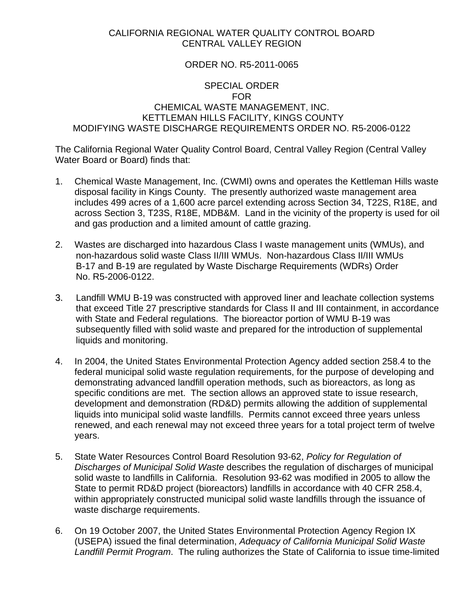## CALIFORNIA REGIONAL WATER QUALITY CONTROL BOARD CENTRAL VALLEY REGION

## ORDER NO. R5-2011-0065

## SPECIAL ORDER FOR CHEMICAL WASTE MANAGEMENT, INC. KETTLEMAN HILLS FACILITY, KINGS COUNTY MODIFYING WASTE DISCHARGE REQUIREMENTS ORDER NO. R5-2006-0122

The California Regional Water Quality Control Board, Central Valley Region (Central Valley Water Board or Board) finds that:

- 1. Chemical Waste Management, Inc. (CWMI) owns and operates the Kettleman Hills waste disposal facility in Kings County. The presently authorized waste management area includes 499 acres of a 1,600 acre parcel extending across Section 34, T22S, R18E, and across Section 3, T23S, R18E, MDB&M. Land in the vicinity of the property is used for oil and gas production and a limited amount of cattle grazing.
- 2. Wastes are discharged into hazardous Class I waste management units (WMUs), and non-hazardous solid waste Class II/III WMUs. Non-hazardous Class II/III WMUs B-17 and B-19 are regulated by Waste Discharge Requirements (WDRs) Order No. R5-2006-0122.
- 3. Landfill WMU B-19 was constructed with approved liner and leachate collection systems that exceed Title 27 prescriptive standards for Class II and III containment, in accordance with State and Federal regulations. The bioreactor portion of WMU B-19 was subsequently filled with solid waste and prepared for the introduction of supplemental liquids and monitoring.
- 4. In 2004, the United States Environmental Protection Agency added section 258.4 to the federal municipal solid waste regulation requirements, for the purpose of developing and demonstrating advanced landfill operation methods, such as bioreactors, as long as specific conditions are met. The section allows an approved state to issue research, development and demonstration (RD&D) permits allowing the addition of supplemental liquids into municipal solid waste landfills. Permits cannot exceed three years unless renewed, and each renewal may not exceed three years for a total project term of twelve years.
- 5. State Water Resources Control Board Resolution 93-62, *Policy for Regulation of Discharges of Municipal Solid Waste* describes the regulation of discharges of municipal solid waste to landfills in California. Resolution 93-62 was modified in 2005 to allow the State to permit RD&D project (bioreactors) landfills in accordance with 40 CFR 258.4, within appropriately constructed municipal solid waste landfills through the issuance of waste discharge requirements.
- 6. On 19 October 2007, the United States Environmental Protection Agency Region IX (USEPA) issued the final determination, *Adequacy of California Municipal Solid Waste Landfill Permit Program*. The ruling authorizes the State of California to issue time-limited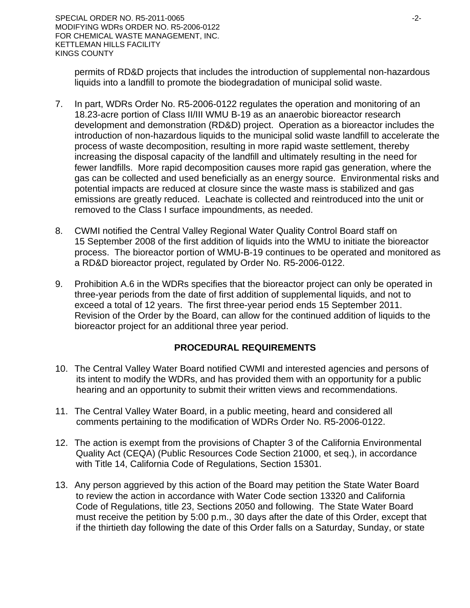permits of RD&D projects that includes the introduction of supplemental non-hazardous liquids into a landfill to promote the biodegradation of municipal solid waste.

- 7. In part, WDRs Order No. R5-2006-0122 regulates the operation and monitoring of an 18.23-acre portion of Class II/III WMU B-19 as an anaerobic bioreactor research development and demonstration (RD&D) project. Operation as a bioreactor includes the introduction of non-hazardous liquids to the municipal solid waste landfill to accelerate the process of waste decomposition, resulting in more rapid waste settlement, thereby increasing the disposal capacity of the landfill and ultimately resulting in the need for fewer landfills. More rapid decomposition causes more rapid gas generation, where the gas can be collected and used beneficially as an energy source. Environmental risks and potential impacts are reduced at closure since the waste mass is stabilized and gas emissions are greatly reduced. Leachate is collected and reintroduced into the unit or removed to the Class I surface impoundments, as needed.
- 8. CWMI notified the Central Valley Regional Water Quality Control Board staff on 15 September 2008 of the first addition of liquids into the WMU to initiate the bioreactor process. The bioreactor portion of WMU-B-19 continues to be operated and monitored as a RD&D bioreactor project, regulated by Order No. R5-2006-0122.
- 9. Prohibition A.6 in the WDRs specifies that the bioreactor project can only be operated in three-year periods from the date of first addition of supplemental liquids, and not to exceed a total of 12 years. The first three-year period ends 15 September 2011. Revision of the Order by the Board, can allow for the continued addition of liquids to the bioreactor project for an additional three year period.

## **PROCEDURAL REQUIREMENTS**

- 10. The Central Valley Water Board notified CWMI and interested agencies and persons of its intent to modify the WDRs, and has provided them with an opportunity for a public hearing and an opportunity to submit their written views and recommendations.
- 11. The Central Valley Water Board, in a public meeting, heard and considered all comments pertaining to the modification of WDRs Order No. R5-2006-0122.
- 12. The action is exempt from the provisions of Chapter 3 of the California Environmental Quality Act (CEQA) (Public Resources Code Section 21000, et seq.), in accordance with Title 14, California Code of Regulations, Section 15301.
- 13. Any person aggrieved by this action of the Board may petition the State Water Board to review the action in accordance with Water Code section 13320 and California Code of Regulations, title 23, Sections 2050 and following. The State Water Board must receive the petition by 5:00 p.m., 30 days after the date of this Order, except that if the thirtieth day following the date of this Order falls on a Saturday, Sunday, or state